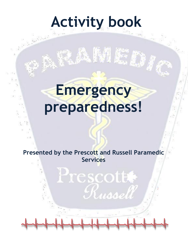# **Activity book**

AWS

# **Emergency preparedness!**

**Presented by the Prescott and Russell Paramedic Services** 

Prescott

Russel

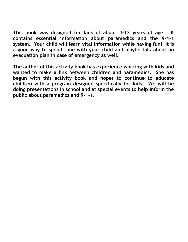**This book was designed for kids of about 4-12 years of age. It contains essential information about paramedics and the 9-1-1 system. Your child will learn vital information while having fun! It is a good way to spend time with your child and maybe talk about an evacuation plan in case of emergency as well.** 

**The author of this activity book has experience working with kids and wanted to make a link between children and paramedics. She has begun with this activity book and hopes to continue to educate children with a program designed specifically for kids. We will be doing presentations in school and at special events to help inform the public about paramedics and 9-1-1.**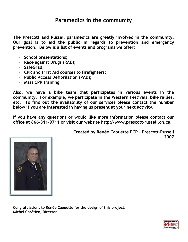#### **Paramedics in the community**

**The Prescott and Russell paramedics are greatly involved in the community. Our goal is to aid the public in regards to prevention and emergency prevention. Below is a list of events and programs we offer:** 

- **School presentations;**
- **Race against Drugs (RAD);**
- **SafeGrad;**
- **CPR and First Aid courses to firefighters;**
- **Public Access Defibrilation (PAD);**
- **Mass CPR training**

**Also, we have a bike team that participates in various events in the community. For example, we participate in the Western Festivals, bike rallies, etc. To find out the availability of our services please contact the number below if you are interested in having us present at your next activity.** 

**If you have any questions or would like more information please contact our office at 866-311-9711 or visit our website [http://www.prescott-russell.on.ca.](http://www.prescott-russell.on.ca)** 





**Congratulations to Renée Caouette for the design of this project. Michel Chrétien, Director** 

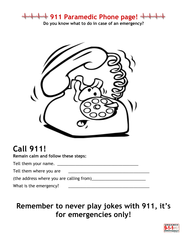**911 Paramedic Phone page!** 

**Do you know what to do in case of an emergency?** 



## **Call 911!**

**Remain calm and follow these steps:** 

Tell them your name. \_\_\_\_\_\_\_\_\_\_\_\_\_\_\_\_\_\_\_\_\_\_\_\_\_\_\_\_\_\_\_\_\_\_\_\_

Tell them where you are

(the address where you are calling from)\_\_\_\_\_\_\_\_\_\_\_\_\_\_\_\_\_\_\_\_\_\_\_\_

What is the emergency?

### **Remember to never play jokes with 911, it's for emergencies only!**

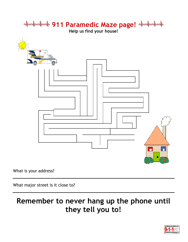

What major street is it close to?

### **Remember to never hang up the phone until they tell you to!**

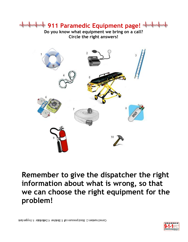## **911 Paramedic Equipment page!**

**Do you know what equipment we bring on a call? Circle the right answers!** 



**Remember to give the dispatcher the right information about what is wrong, so that we can choose the right equipment for the problem!** 

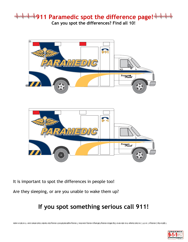#### **911 Paramedic spot the difference page! Can you spot the differences? Find all 10!**



It is important to spot the differences in people too!

Are they sleeping, or are you unable to wake them up?

#### **If you spot something serious call 911!**

sakara no list on OT tevoo leerlw absd. & elbnish "oob gnissim. \$ mot fis lisel elgism gram T asmil ennos gnissim si gniw flel. 8 gnissim xod flel qat 3 romin ebis on. A reqmud absd on. \$ . I't on T is gnissim. S qat no fr

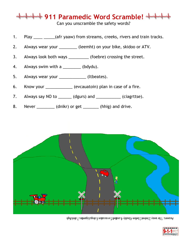





- 8. Never \_\_\_\_\_\_\_\_\_ (dnikr) or get \_\_\_\_\_\_\_ (hhig) and drive.
- 
- 
- 
- 3. Always look both ways \_\_\_\_\_\_\_\_\_ (foebre) crossing the street.
- 
- 4. Always swim with a \_\_\_\_\_\_\_\_\_ (bdydu).
- 
- 5. Always wear your \_\_\_\_\_\_\_\_\_\_\_\_\_\_ (ltbeates).
- 

6. Know your **example 20** (evcauatoin) plan in case of a fire.

7. Always say NO to \_\_\_\_\_\_ (dgurs) and \_\_\_\_\_\_\_\_\_\_ (ciagrttse).

2. Always wear your (leemht) on your bike, skidoo or ATV.

**911 Paramedic Word Scramble!** 

Can you unscramble the safety words?

1. Play <u>each case (africal</u> vaaw) from streams, creeks, rivers and train tracks.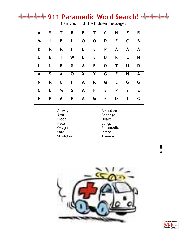## **911 Paramedic Word Search!**

Can you find the hidden message?

| A | $\mathsf{S}$ | Τ | R           | Е |   | C | Н | Е           | R |
|---|--------------|---|-------------|---|---|---|---|-------------|---|
| M |              | B | L           | 0 | 0 | D | E | $\mathsf C$ | B |
| B | R            | R | Η           | Е | L | P | A | A           | A |
| U | E.           | Т | W           | L | L | U | R | L           | N |
| L | N            | R | S           | A | F | O | Т | U           | D |
| A | $\mathsf{S}$ | A | O           | X | Y | G | Е | N           | A |
| N | R            | U | Н           | A | R | M | E | G           | G |
| C | L            | M | $\mathsf S$ | A | F | E | P | S           | E |
| E | P            | A | R           | A | M | E | D |             | C |

Airway Blood Heart<br>
Help Lungs Safe Sirens Stretcher Trauma

Ambulance Arm Bandage Lungs Oxygen Paramedic



\_ \_ \_ \_ \_ \_ \_ \_ \_ \_ \_ \_ \_!